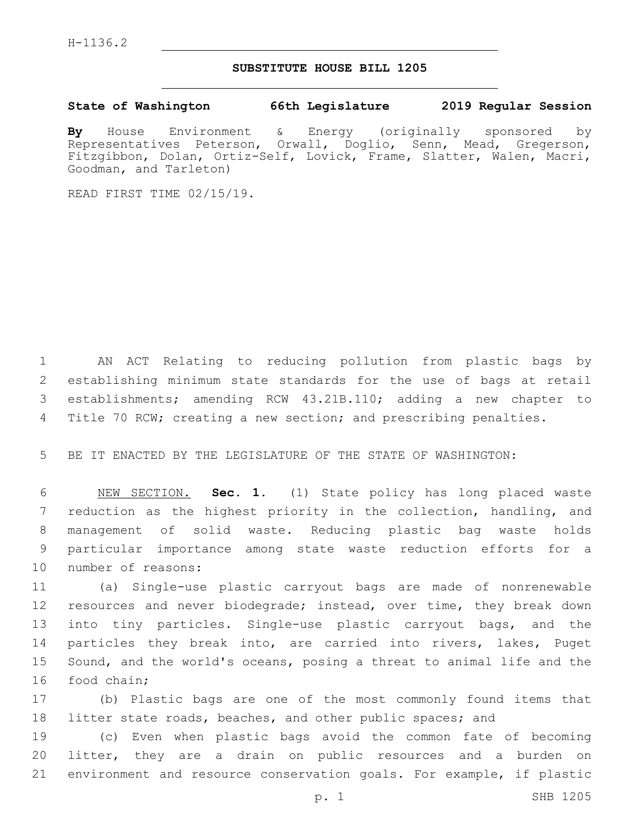## **SUBSTITUTE HOUSE BILL 1205**

## **State of Washington 66th Legislature 2019 Regular Session**

**By** House Environment & Energy (originally sponsored by Representatives Peterson, Orwall, Doglio, Senn, Mead, Gregerson, Fitzgibbon, Dolan, Ortiz-Self, Lovick, Frame, Slatter, Walen, Macri, Goodman, and Tarleton)

READ FIRST TIME 02/15/19.

 AN ACT Relating to reducing pollution from plastic bags by establishing minimum state standards for the use of bags at retail establishments; amending RCW 43.21B.110; adding a new chapter to Title 70 RCW; creating a new section; and prescribing penalties.

BE IT ENACTED BY THE LEGISLATURE OF THE STATE OF WASHINGTON:

 NEW SECTION. **Sec. 1.** (1) State policy has long placed waste reduction as the highest priority in the collection, handling, and management of solid waste. Reducing plastic bag waste holds particular importance among state waste reduction efforts for a number of reasons:

 (a) Single-use plastic carryout bags are made of nonrenewable 12 resources and never biodegrade; instead, over time, they break down into tiny particles. Single-use plastic carryout bags, and the particles they break into, are carried into rivers, lakes, Puget Sound, and the world's oceans, posing a threat to animal life and the 16 food chain;

 (b) Plastic bags are one of the most commonly found items that litter state roads, beaches, and other public spaces; and

 (c) Even when plastic bags avoid the common fate of becoming litter, they are a drain on public resources and a burden on environment and resource conservation goals. For example, if plastic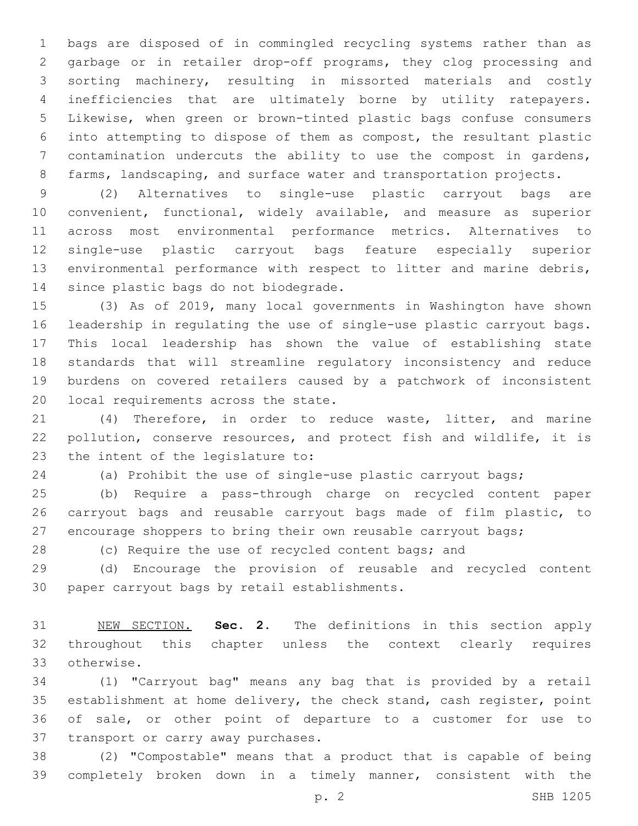bags are disposed of in commingled recycling systems rather than as garbage or in retailer drop-off programs, they clog processing and sorting machinery, resulting in missorted materials and costly inefficiencies that are ultimately borne by utility ratepayers. Likewise, when green or brown-tinted plastic bags confuse consumers into attempting to dispose of them as compost, the resultant plastic contamination undercuts the ability to use the compost in gardens, 8 farms, landscaping, and surface water and transportation projects.

 (2) Alternatives to single-use plastic carryout bags are convenient, functional, widely available, and measure as superior across most environmental performance metrics. Alternatives to single-use plastic carryout bags feature especially superior environmental performance with respect to litter and marine debris, 14 since plastic bags do not biodegrade.

 (3) As of 2019, many local governments in Washington have shown leadership in regulating the use of single-use plastic carryout bags. This local leadership has shown the value of establishing state standards that will streamline regulatory inconsistency and reduce burdens on covered retailers caused by a patchwork of inconsistent 20 local requirements across the state.

 (4) Therefore, in order to reduce waste, litter, and marine pollution, conserve resources, and protect fish and wildlife, it is 23 the intent of the legislature to:

(a) Prohibit the use of single-use plastic carryout bags;

 (b) Require a pass-through charge on recycled content paper carryout bags and reusable carryout bags made of film plastic, to encourage shoppers to bring their own reusable carryout bags;

28 (c) Require the use of recycled content bags; and

 (d) Encourage the provision of reusable and recycled content 30 paper carryout bags by retail establishments.

 NEW SECTION. **Sec. 2.** The definitions in this section apply throughout this chapter unless the context clearly requires otherwise.

 (1) "Carryout bag" means any bag that is provided by a retail establishment at home delivery, the check stand, cash register, point of sale, or other point of departure to a customer for use to 37 transport or carry away purchases.

 (2) "Compostable" means that a product that is capable of being completely broken down in a timely manner, consistent with the

p. 2 SHB 1205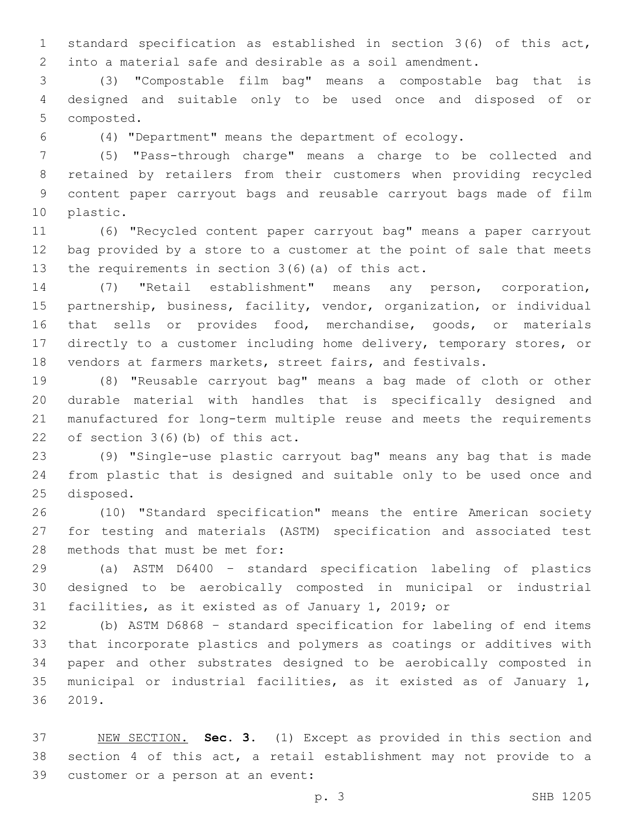standard specification as established in section 3(6) of this act, into a material safe and desirable as a soil amendment.

 (3) "Compostable film bag" means a compostable bag that is designed and suitable only to be used once and disposed of or 5 composted.

(4) "Department" means the department of ecology.

 (5) "Pass-through charge" means a charge to be collected and retained by retailers from their customers when providing recycled content paper carryout bags and reusable carryout bags made of film 10 plastic.

 (6) "Recycled content paper carryout bag" means a paper carryout bag provided by a store to a customer at the point of sale that meets 13 the requirements in section  $3(6)$  (a) of this act.

 (7) "Retail establishment" means any person, corporation, partnership, business, facility, vendor, organization, or individual that sells or provides food, merchandise, goods, or materials directly to a customer including home delivery, temporary stores, or vendors at farmers markets, street fairs, and festivals.

 (8) "Reusable carryout bag" means a bag made of cloth or other durable material with handles that is specifically designed and manufactured for long-term multiple reuse and meets the requirements 22 of section  $3(6)(b)$  of this act.

 (9) "Single-use plastic carryout bag" means any bag that is made from plastic that is designed and suitable only to be used once and 25 disposed.

 (10) "Standard specification" means the entire American society for testing and materials (ASTM) specification and associated test 28 methods that must be met for:

 (a) ASTM D6400 – standard specification labeling of plastics designed to be aerobically composted in municipal or industrial facilities, as it existed as of January 1, 2019; or

 (b) ASTM D6868 – standard specification for labeling of end items that incorporate plastics and polymers as coatings or additives with paper and other substrates designed to be aerobically composted in municipal or industrial facilities, as it existed as of January 1, 36 2019.

 NEW SECTION. **Sec. 3.** (1) Except as provided in this section and section 4 of this act, a retail establishment may not provide to a 39 customer or a person at an event: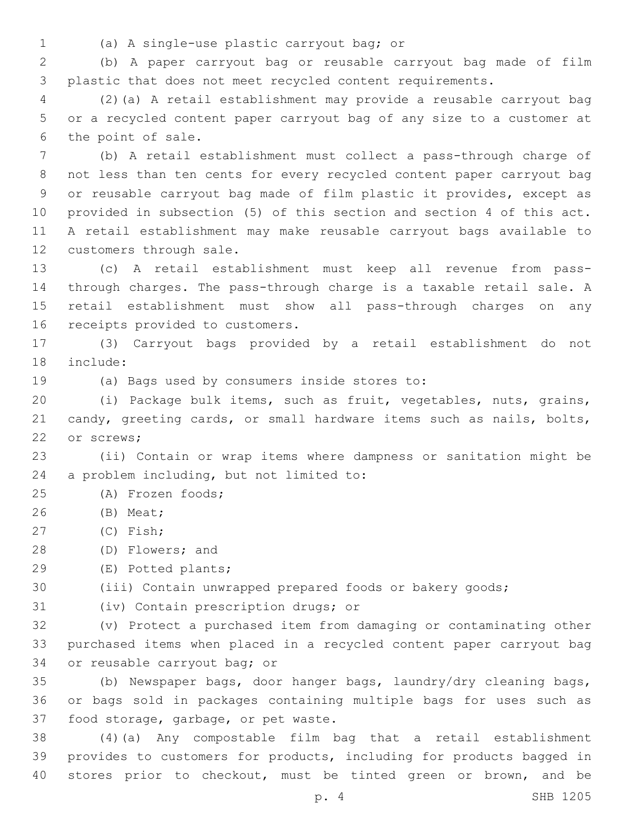- 
- (a) A single-use plastic carryout bag; or1

2 (b) A paper carryout bag or reusable carryout bag made of film 3 plastic that does not meet recycled content requirements.

4 (2)(a) A retail establishment may provide a reusable carryout bag 5 or a recycled content paper carryout bag of any size to a customer at 6 the point of sale.

 (b) A retail establishment must collect a pass-through charge of not less than ten cents for every recycled content paper carryout bag or reusable carryout bag made of film plastic it provides, except as provided in subsection (5) of this section and section 4 of this act. A retail establishment may make reusable carryout bags available to 12 customers through sale.

 (c) A retail establishment must keep all revenue from pass- through charges. The pass-through charge is a taxable retail sale. A retail establishment must show all pass-through charges on any 16 receipts provided to customers.

17 (3) Carryout bags provided by a retail establishment do not 18 include:

19 (a) Bags used by consumers inside stores to:

20 (i) Package bulk items, such as fruit, vegetables, nuts, grains, 21 candy, greeting cards, or small hardware items such as nails, bolts, 22 or screws;

23 (ii) Contain or wrap items where dampness or sanitation might be 24 a problem including, but not limited to:

- 25 (A) Frozen foods;
- (B) Meat;26
- (C) Fish;27
- 28 (D) Flowers; and
- (E) Potted plants;29

30 (iii) Contain unwrapped prepared foods or bakery goods;

31 (iv) Contain prescription drugs; or

32 (v) Protect a purchased item from damaging or contaminating other 33 purchased items when placed in a recycled content paper carryout bag 34 or reusable carryout bag; or

35 (b) Newspaper bags, door hanger bags, laundry/dry cleaning bags, 36 or bags sold in packages containing multiple bags for uses such as 37 food storage, garbage, or pet waste.

38 (4)(a) Any compostable film bag that a retail establishment 39 provides to customers for products, including for products bagged in 40 stores prior to checkout, must be tinted green or brown, and be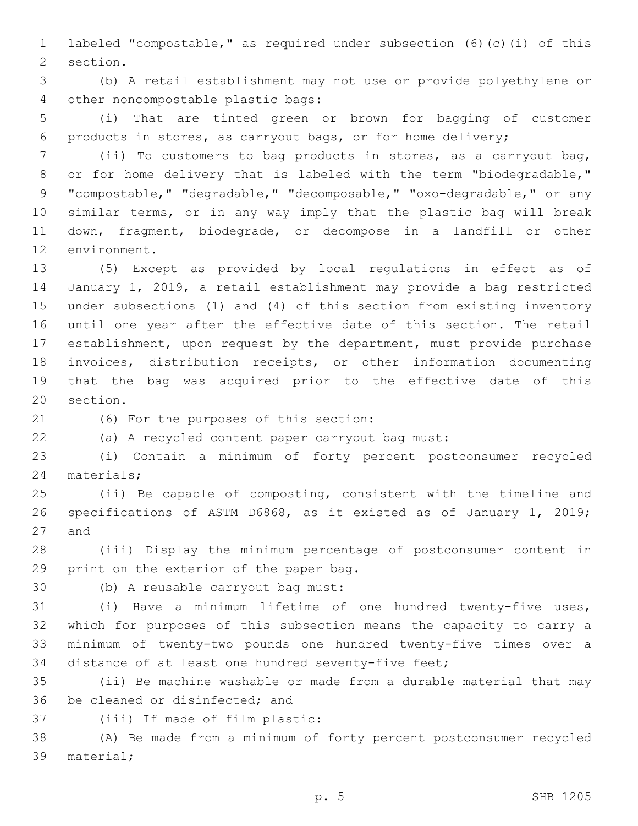labeled "compostable," as required under subsection (6)(c)(i) of this 2 section.

 (b) A retail establishment may not use or provide polyethylene or 4 other noncompostable plastic bags:

 (i) That are tinted green or brown for bagging of customer products in stores, as carryout bags, or for home delivery;

 (ii) To customers to bag products in stores, as a carryout bag, 8 or for home delivery that is labeled with the term "biodegradable," "compostable," "degradable," "decomposable," "oxo-degradable," or any similar terms, or in any way imply that the plastic bag will break down, fragment, biodegrade, or decompose in a landfill or other 12 environment.

 (5) Except as provided by local regulations in effect as of January 1, 2019, a retail establishment may provide a bag restricted under subsections (1) and (4) of this section from existing inventory until one year after the effective date of this section. The retail establishment, upon request by the department, must provide purchase invoices, distribution receipts, or other information documenting that the bag was acquired prior to the effective date of this 20 section.

(6) For the purposes of this section:21

(a) A recycled content paper carryout bag must:

 (i) Contain a minimum of forty percent postconsumer recycled 24 materials;

 (ii) Be capable of composting, consistent with the timeline and specifications of ASTM D6868, as it existed as of January 1, 2019; 27 and

 (iii) Display the minimum percentage of postconsumer content in 29 print on the exterior of the paper bag.

30 (b) A reusable carryout bag must:

 (i) Have a minimum lifetime of one hundred twenty-five uses, which for purposes of this subsection means the capacity to carry a minimum of twenty-two pounds one hundred twenty-five times over a distance of at least one hundred seventy-five feet;

 (ii) Be machine washable or made from a durable material that may 36 be cleaned or disinfected; and

37 (iii) If made of film plastic:

 (A) Be made from a minimum of forty percent postconsumer recycled 39 material;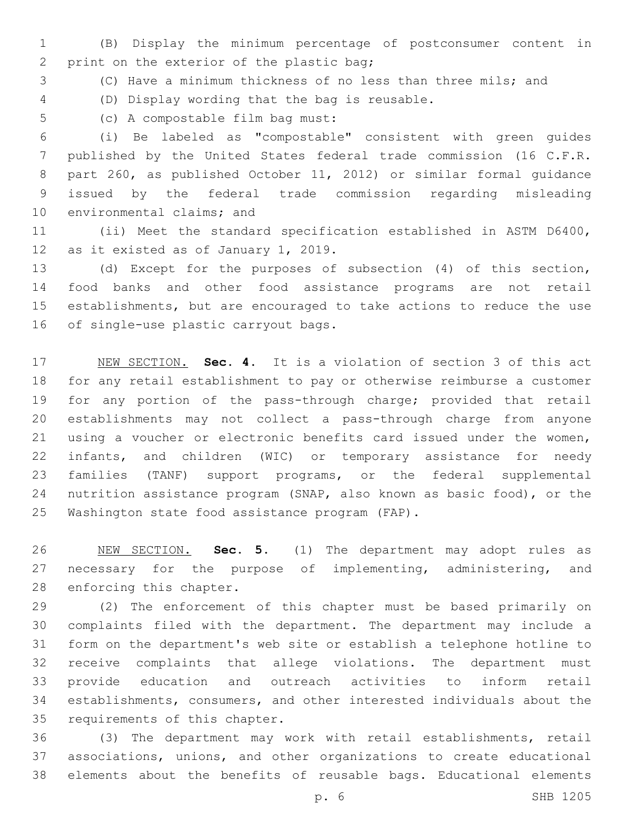(B) Display the minimum percentage of postconsumer content in 2 print on the exterior of the plastic bag;

(C) Have a minimum thickness of no less than three mils; and

(D) Display wording that the bag is reusable.4

5 (c) A compostable film bag must:

 (i) Be labeled as "compostable" consistent with green guides published by the United States federal trade commission (16 C.F.R. part 260, as published October 11, 2012) or similar formal guidance issued by the federal trade commission regarding misleading 10 environmental claims; and

 (ii) Meet the standard specification established in ASTM D6400, 12 as it existed as of January 1, 2019.

 (d) Except for the purposes of subsection (4) of this section, food banks and other food assistance programs are not retail establishments, but are encouraged to take actions to reduce the use 16 of single-use plastic carryout bags.

 NEW SECTION. **Sec. 4.** It is a violation of section 3 of this act for any retail establishment to pay or otherwise reimburse a customer for any portion of the pass-through charge; provided that retail establishments may not collect a pass-through charge from anyone using a voucher or electronic benefits card issued under the women, infants, and children (WIC) or temporary assistance for needy families (TANF) support programs, or the federal supplemental nutrition assistance program (SNAP, also known as basic food), or the Washington state food assistance program (FAP).

 NEW SECTION. **Sec. 5.** (1) The department may adopt rules as necessary for the purpose of implementing, administering, and enforcing this chapter.

 (2) The enforcement of this chapter must be based primarily on complaints filed with the department. The department may include a form on the department's web site or establish a telephone hotline to receive complaints that allege violations. The department must provide education and outreach activities to inform retail establishments, consumers, and other interested individuals about the 35 requirements of this chapter.

 (3) The department may work with retail establishments, retail associations, unions, and other organizations to create educational elements about the benefits of reusable bags. Educational elements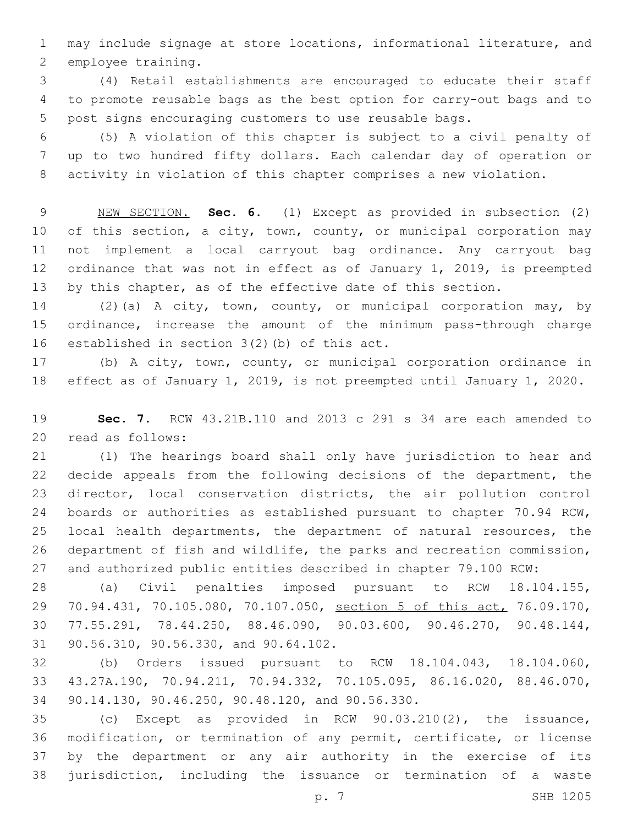may include signage at store locations, informational literature, and 2 employee training.

 (4) Retail establishments are encouraged to educate their staff to promote reusable bags as the best option for carry-out bags and to post signs encouraging customers to use reusable bags.

 (5) A violation of this chapter is subject to a civil penalty of up to two hundred fifty dollars. Each calendar day of operation or activity in violation of this chapter comprises a new violation.

 NEW SECTION. **Sec. 6.** (1) Except as provided in subsection (2) 10 of this section, a city, town, county, or municipal corporation may not implement a local carryout bag ordinance. Any carryout bag ordinance that was not in effect as of January 1, 2019, is preempted 13 by this chapter, as of the effective date of this section.

 (2)(a) A city, town, county, or municipal corporation may, by ordinance, increase the amount of the minimum pass-through charge 16 established in section  $3(2)$  (b) of this act.

 (b) A city, town, county, or municipal corporation ordinance in effect as of January 1, 2019, is not preempted until January 1, 2020.

 **Sec. 7.** RCW 43.21B.110 and 2013 c 291 s 34 are each amended to read as follows:20

 (1) The hearings board shall only have jurisdiction to hear and decide appeals from the following decisions of the department, the director, local conservation districts, the air pollution control boards or authorities as established pursuant to chapter 70.94 RCW, local health departments, the department of natural resources, the department of fish and wildlife, the parks and recreation commission, and authorized public entities described in chapter 79.100 RCW:

 (a) Civil penalties imposed pursuant to RCW 18.104.155, 70.94.431, 70.105.080, 70.107.050, section 5 of this act, 76.09.170, 77.55.291, 78.44.250, 88.46.090, 90.03.600, 90.46.270, 90.48.144, 31 90.56.310, 90.56.330, and 90.64.102.

 (b) Orders issued pursuant to RCW 18.104.043, 18.104.060, 43.27A.190, 70.94.211, 70.94.332, 70.105.095, 86.16.020, 88.46.070, 34 90.14.130, 90.46.250, 90.48.120, and 90.56.330.

 (c) Except as provided in RCW 90.03.210(2), the issuance, modification, or termination of any permit, certificate, or license by the department or any air authority in the exercise of its jurisdiction, including the issuance or termination of a waste

p. 7 SHB 1205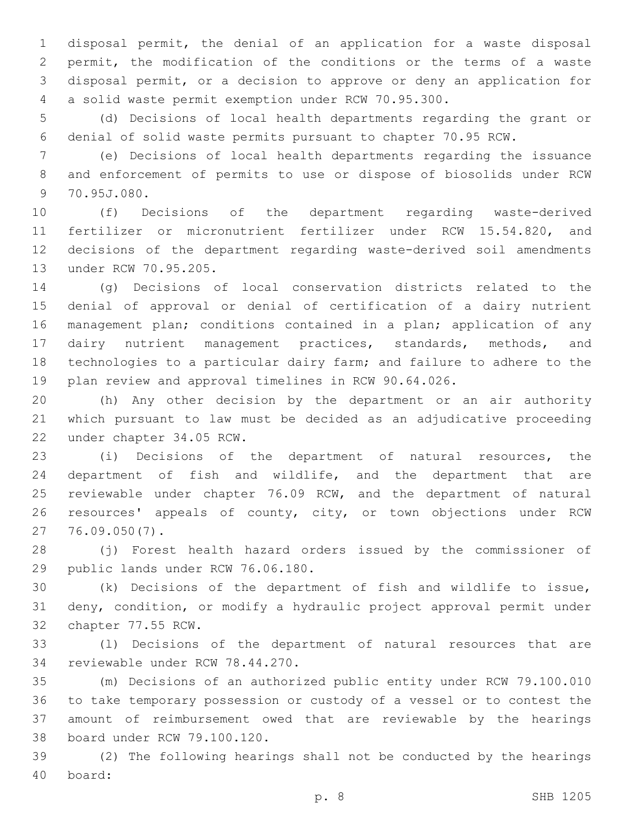disposal permit, the denial of an application for a waste disposal permit, the modification of the conditions or the terms of a waste disposal permit, or a decision to approve or deny an application for a solid waste permit exemption under RCW 70.95.300.

 (d) Decisions of local health departments regarding the grant or denial of solid waste permits pursuant to chapter 70.95 RCW.

 (e) Decisions of local health departments regarding the issuance and enforcement of permits to use or dispose of biosolids under RCW 9 70.95J.080.

 (f) Decisions of the department regarding waste-derived fertilizer or micronutrient fertilizer under RCW 15.54.820, and decisions of the department regarding waste-derived soil amendments 13 under RCW 70.95.205.

 (g) Decisions of local conservation districts related to the denial of approval or denial of certification of a dairy nutrient management plan; conditions contained in a plan; application of any dairy nutrient management practices, standards, methods, and technologies to a particular dairy farm; and failure to adhere to the plan review and approval timelines in RCW 90.64.026.

 (h) Any other decision by the department or an air authority which pursuant to law must be decided as an adjudicative proceeding 22 under chapter 34.05 RCW.

 (i) Decisions of the department of natural resources, the department of fish and wildlife, and the department that are reviewable under chapter 76.09 RCW, and the department of natural 26 resources' appeals of county, city, or town objections under RCW 76.09.050(7).27

 (j) Forest health hazard orders issued by the commissioner of 29 public lands under RCW 76.06.180.

 (k) Decisions of the department of fish and wildlife to issue, deny, condition, or modify a hydraulic project approval permit under 32 chapter 77.55 RCW.

 (l) Decisions of the department of natural resources that are 34 reviewable under RCW 78.44.270.

 (m) Decisions of an authorized public entity under RCW 79.100.010 to take temporary possession or custody of a vessel or to contest the amount of reimbursement owed that are reviewable by the hearings 38 board under RCW 79.100.120.

 (2) The following hearings shall not be conducted by the hearings board:40